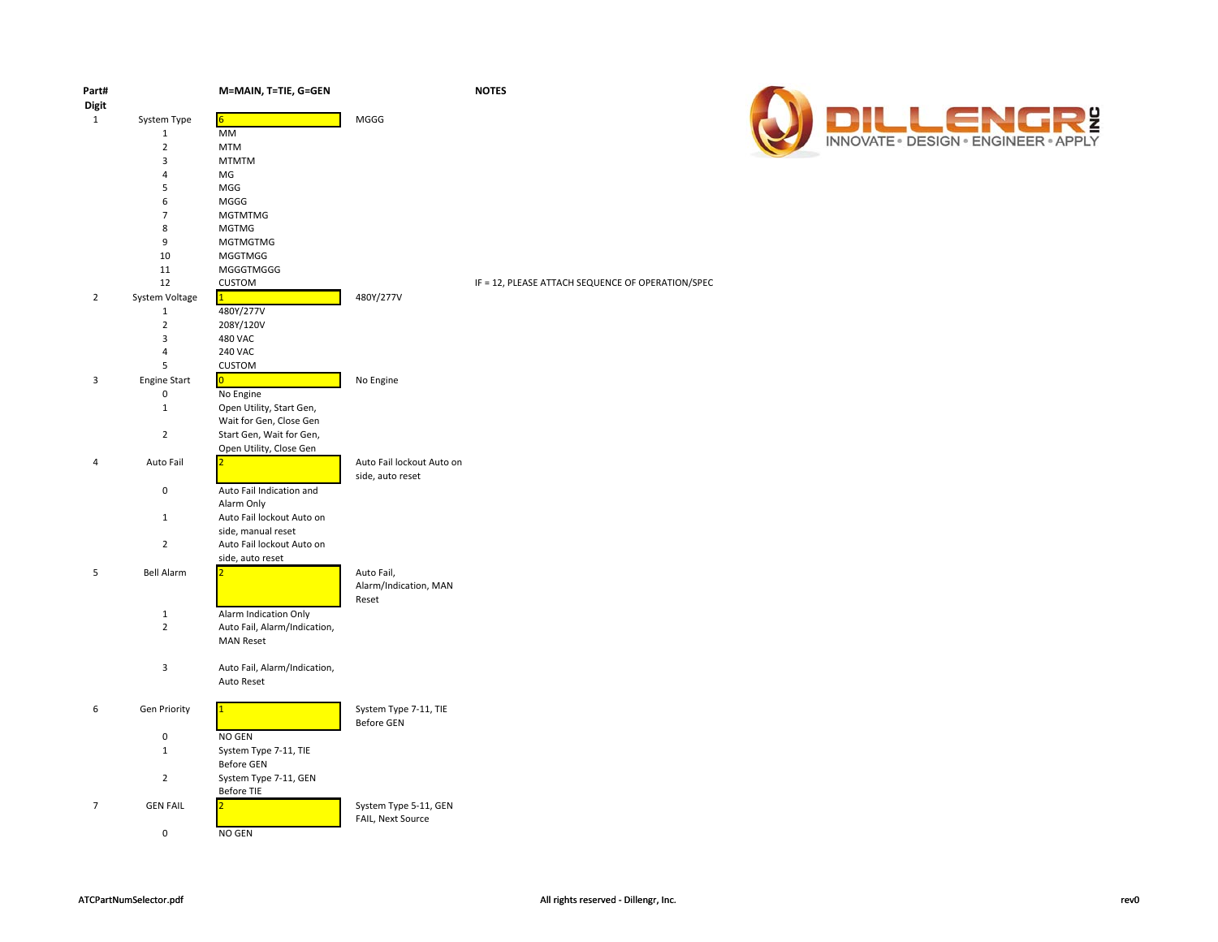| Part#          |                     | M=MAIN, T=TIE, G=GEN                    |                           | <b>NOTES</b>                                      |
|----------------|---------------------|-----------------------------------------|---------------------------|---------------------------------------------------|
| <b>Digit</b>   |                     |                                         |                           |                                                   |
| $\mathbf{1}$   | System Type         | 6                                       | MGGG                      |                                                   |
|                | $\mathbf 1$         | MM                                      |                           |                                                   |
|                | $\overline{2}$      | <b>MTM</b>                              |                           |                                                   |
|                | 3                   | <b>MTMTM</b>                            |                           |                                                   |
|                | $\overline{4}$      | MG                                      |                           |                                                   |
|                | 5                   | MGG                                     |                           |                                                   |
|                | 6                   | MGGG                                    |                           |                                                   |
|                | $\overline{7}$<br>8 | <b>MGTMTMG</b>                          |                           |                                                   |
|                | 9                   | <b>MGTMG</b><br>MGTMGTMG                |                           |                                                   |
|                | 10                  | <b>MGGTMGG</b>                          |                           |                                                   |
|                | 11                  | <b>MGGGTMGGG</b>                        |                           |                                                   |
|                | 12                  | <b>CUSTOM</b>                           |                           | IF = 12, PLEASE ATTACH SEQUENCE OF OPERATION/SPEC |
| $\overline{2}$ | System Voltage      | $\mathbf{1}$                            | 480Y/277V                 |                                                   |
|                | $\mathbf 1$         | 480Y/277V                               |                           |                                                   |
|                | $\overline{2}$      | 208Y/120V                               |                           |                                                   |
|                | 3                   | 480 VAC                                 |                           |                                                   |
|                | 4                   | 240 VAC                                 |                           |                                                   |
|                | 5                   | <b>CUSTOM</b>                           |                           |                                                   |
| 3              | <b>Engine Start</b> | $\overline{0}$                          | No Engine                 |                                                   |
|                | $\pmb{0}$           | No Engine                               |                           |                                                   |
|                | $\mathbf 1$         | Open Utility, Start Gen,                |                           |                                                   |
|                |                     | Wait for Gen, Close Gen                 |                           |                                                   |
|                | $\overline{2}$      | Start Gen, Wait for Gen,                |                           |                                                   |
|                |                     | Open Utility, Close Gen                 |                           |                                                   |
| $\Delta$       | Auto Fail           |                                         | Auto Fail lockout Auto on |                                                   |
|                |                     |                                         | side, auto reset          |                                                   |
|                | $\pmb{0}$           | Auto Fail Indication and                |                           |                                                   |
|                | $\mathbf{1}$        | Alarm Only<br>Auto Fail lockout Auto on |                           |                                                   |
|                |                     | side, manual reset                      |                           |                                                   |
|                | $\overline{2}$      | Auto Fail lockout Auto on               |                           |                                                   |
|                |                     | side, auto reset                        |                           |                                                   |
| 5              | <b>Bell Alarm</b>   |                                         | Auto Fail,                |                                                   |
|                |                     |                                         | Alarm/Indication, MAN     |                                                   |
|                |                     |                                         | Reset                     |                                                   |
|                | $\mathbf 1$         | Alarm Indication Only                   |                           |                                                   |
|                | $\overline{2}$      | Auto Fail, Alarm/Indication,            |                           |                                                   |
|                |                     | <b>MAN Reset</b>                        |                           |                                                   |
|                |                     |                                         |                           |                                                   |
|                | 3                   | Auto Fail, Alarm/Indication,            |                           |                                                   |
|                |                     | Auto Reset                              |                           |                                                   |
| 6              | <b>Gen Priority</b> |                                         | System Type 7-11, TIE     |                                                   |
|                |                     |                                         | <b>Before GEN</b>         |                                                   |
|                | $\pmb{0}$           | NO GEN                                  |                           |                                                   |
|                | $\mathbf{1}$        | System Type 7-11, TIE                   |                           |                                                   |
|                |                     | Before GEN                              |                           |                                                   |
|                | $\overline{2}$      | System Type 7-11, GEN                   |                           |                                                   |
|                |                     | Before TIE                              |                           |                                                   |
| $\overline{7}$ | <b>GEN FAIL</b>     |                                         | System Type 5-11, GEN     |                                                   |
|                |                     |                                         | FAIL, Next Source         |                                                   |
|                | $\pmb{0}$           | NO GEN                                  |                           |                                                   |
|                |                     |                                         |                           |                                                   |